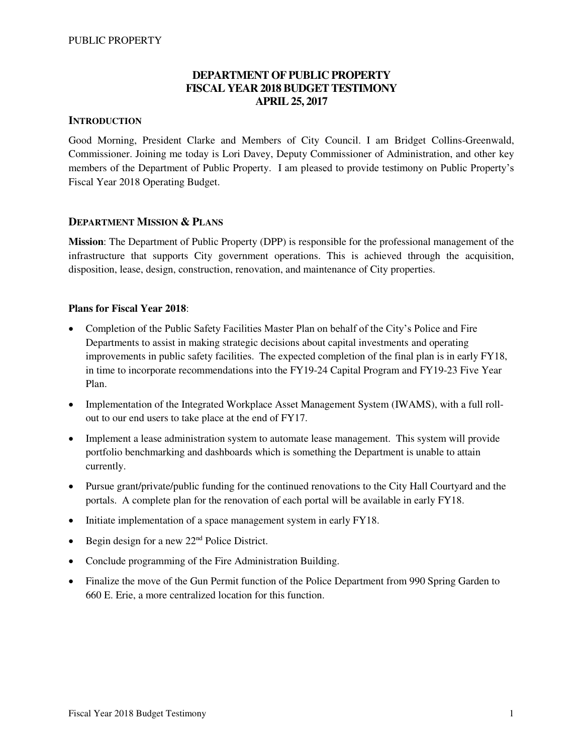### **DEPARTMENT OF PUBLIC PROPERTY FISCAL YEAR 2018 BUDGET TESTIMONY APRIL 25, 2017**

#### **INTRODUCTION**

Good Morning, President Clarke and Members of City Council. I am Bridget Collins-Greenwald, Commissioner. Joining me today is Lori Davey, Deputy Commissioner of Administration, and other key members of the Department of Public Property. I am pleased to provide testimony on Public Property's Fiscal Year 2018 Operating Budget.

#### **DEPARTMENT MISSION & PLANS**

**Mission**: The Department of Public Property (DPP) is responsible for the professional management of the infrastructure that supports City government operations. This is achieved through the acquisition, disposition, lease, design, construction, renovation, and maintenance of City properties.

### **Plans for Fiscal Year 2018**:

- Completion of the Public Safety Facilities Master Plan on behalf of the City's Police and Fire Departments to assist in making strategic decisions about capital investments and operating improvements in public safety facilities. The expected completion of the final plan is in early FY18, in time to incorporate recommendations into the FY19-24 Capital Program and FY19-23 Five Year Plan.
- Implementation of the Integrated Workplace Asset Management System (IWAMS), with a full rollout to our end users to take place at the end of FY17.
- Implement a lease administration system to automate lease management. This system will provide portfolio benchmarking and dashboards which is something the Department is unable to attain currently.
- Pursue grant/private/public funding for the continued renovations to the City Hall Courtyard and the portals. A complete plan for the renovation of each portal will be available in early FY18.
- Initiate implementation of a space management system in early FY18.
- $\bullet$  Begin design for a new 22<sup>nd</sup> Police District.
- Conclude programming of the Fire Administration Building.
- Finalize the move of the Gun Permit function of the Police Department from 990 Spring Garden to 660 E. Erie, a more centralized location for this function.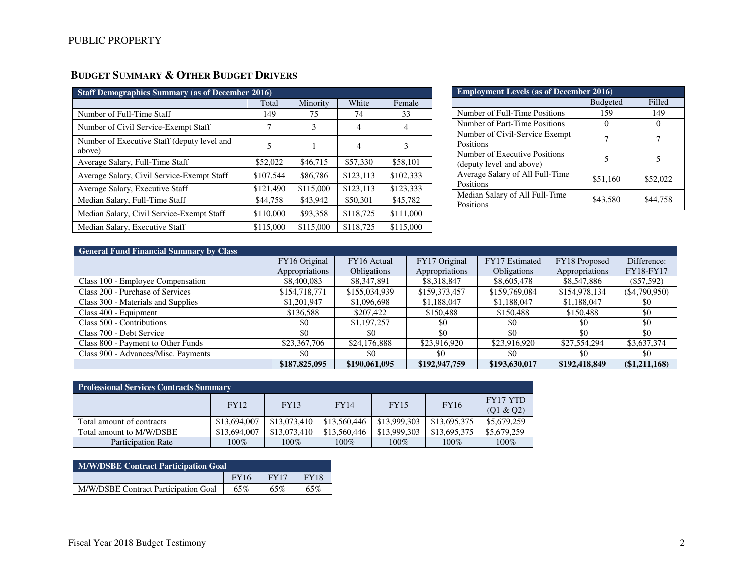# **BUDGET SUMMARY & OTHER BUDGET DRIVERS**

| <b>Staff Demographics Summary (as of December 2016)</b> |           |           |           |           |  |  |  |  |  |  |  |  |
|---------------------------------------------------------|-----------|-----------|-----------|-----------|--|--|--|--|--|--|--|--|
|                                                         | Total     | Minority  | White     | Female    |  |  |  |  |  |  |  |  |
| Number of Full-Time Staff                               | 149       | 75        | 74        | 33        |  |  |  |  |  |  |  |  |
| Number of Civil Service-Exempt Staff                    |           | 3         | 4         | 4         |  |  |  |  |  |  |  |  |
| Number of Executive Staff (deputy level and<br>above)   | 5         |           | 4         | 3         |  |  |  |  |  |  |  |  |
| Average Salary, Full-Time Staff                         | \$52,022  | \$46,715  | \$57,330  | \$58,101  |  |  |  |  |  |  |  |  |
| Average Salary, Civil Service-Exempt Staff              | \$107,544 | \$86,786  | \$123,113 | \$102,333 |  |  |  |  |  |  |  |  |
| Average Salary, Executive Staff                         | \$121,490 | \$115,000 | \$123.113 | \$123,333 |  |  |  |  |  |  |  |  |
| Median Salary, Full-Time Staff                          | \$44,758  | \$43,942  | \$50,301  | \$45,782  |  |  |  |  |  |  |  |  |
| Median Salary, Civil Service-Exempt Staff               | \$110,000 | \$93,358  | \$118,725 | \$111,000 |  |  |  |  |  |  |  |  |
| Median Salary, Executive Staff                          | \$115,000 | \$115,000 | \$118,725 | \$115,000 |  |  |  |  |  |  |  |  |

| <b>Employment Levels (as of December 2016)</b>            |                 |          |  |  |  |  |  |  |  |  |
|-----------------------------------------------------------|-----------------|----------|--|--|--|--|--|--|--|--|
|                                                           | <b>Budgeted</b> | Filled   |  |  |  |  |  |  |  |  |
| Number of Full-Time Positions                             | 159             | 149      |  |  |  |  |  |  |  |  |
| Number of Part-Time Positions                             |                 |          |  |  |  |  |  |  |  |  |
| Number of Civil-Service Exempt<br>Positions               |                 |          |  |  |  |  |  |  |  |  |
| Number of Executive Positions<br>(deputy level and above) | 5               | 5        |  |  |  |  |  |  |  |  |
| Average Salary of All Full-Time<br>Positions              | \$51,160        | \$52,022 |  |  |  |  |  |  |  |  |
| Median Salary of All Full-Time<br>Positions               | \$43,580        | \$44,758 |  |  |  |  |  |  |  |  |

| <b>General Fund Financial Summary by Class</b> |                |                    |                |                    |                |                |  |  |  |  |  |  |
|------------------------------------------------|----------------|--------------------|----------------|--------------------|----------------|----------------|--|--|--|--|--|--|
|                                                | FY16 Original  | FY16 Actual        | FY17 Original  | FY17 Estimated     | FY18 Proposed  | Difference:    |  |  |  |  |  |  |
|                                                | Appropriations | <b>Obligations</b> | Appropriations | <b>Obligations</b> | Appropriations | FY18-FY17      |  |  |  |  |  |  |
| Class 100 - Employee Compensation              | \$8,400,083    | \$8,347,891        | \$8,318,847    | \$8,605,478        | \$8,547,886    | $(\$57,592)$   |  |  |  |  |  |  |
| Class 200 - Purchase of Services               | \$154,718,771  | \$155,034,939      | \$159,373,457  | \$159,769,084      | \$154,978,134  | ( \$4,790,950) |  |  |  |  |  |  |
| Class 300 - Materials and Supplies             | \$1,201,947    | \$1,096,698        | \$1,188,047    | \$1,188,047        | \$1,188,047    | \$0            |  |  |  |  |  |  |
| Class 400 - Equipment                          | \$136.588      | \$207.422          | \$150,488      | \$150,488          | \$150.488      | \$0            |  |  |  |  |  |  |
| Class 500 - Contributions                      | \$0            | \$1,197,257        | \$0            | \$0                | -\$0           | \$0            |  |  |  |  |  |  |
| Class 700 - Debt Service                       | \$0            | \$0                | \$0            | \$0                | \$0            | \$0            |  |  |  |  |  |  |
| Class 800 - Payment to Other Funds             | \$23,367,706   | \$24,176,888       | \$23,916,920   | \$23,916,920       | \$27,554,294   | \$3,637,374    |  |  |  |  |  |  |
| Class 900 - Advances/Misc. Payments            | \$0            | \$0                | \$0            | \$0                | \$0            | \$0            |  |  |  |  |  |  |
|                                                | \$187,825,095  | \$190,061,095      | \$192,947,759  | \$193,630,017      | \$192,418,849  | (\$1,211,168)  |  |  |  |  |  |  |

| <b>Professional Services Contracts Summary</b> |              |              |              |              |              |                              |  |  |  |  |  |  |
|------------------------------------------------|--------------|--------------|--------------|--------------|--------------|------------------------------|--|--|--|--|--|--|
|                                                | <b>FY12</b>  | <b>FY13</b>  | <b>FY14</b>  | <b>FY15</b>  | <b>FY16</b>  | <b>FY17 YTD</b><br>(Q1 & Q2) |  |  |  |  |  |  |
| Total amount of contracts                      | \$13,694,007 | \$13,073,410 | \$13,560,446 | \$13,999,303 | \$13,695,375 | \$5,679,259                  |  |  |  |  |  |  |
| Total amount to M/W/DSBE                       | \$13,694,007 | \$13,073,410 | \$13,560,446 | \$13,999,303 | \$13,695,375 | \$5,679,259                  |  |  |  |  |  |  |
| <b>Participation Rate</b>                      | $100\%$      | $100\%$      | 100%         | 100%         | $100\%$      | 100%                         |  |  |  |  |  |  |

| <b>M/W/DSBE Contract Participation Goal</b> |             |             |             |  |  |  |  |  |  |  |
|---------------------------------------------|-------------|-------------|-------------|--|--|--|--|--|--|--|
|                                             | <b>FY16</b> | <b>FY17</b> | <b>FY18</b> |  |  |  |  |  |  |  |
| M/W/DSBE Contract Participation Goal        | 65%         | 65%         | 65%         |  |  |  |  |  |  |  |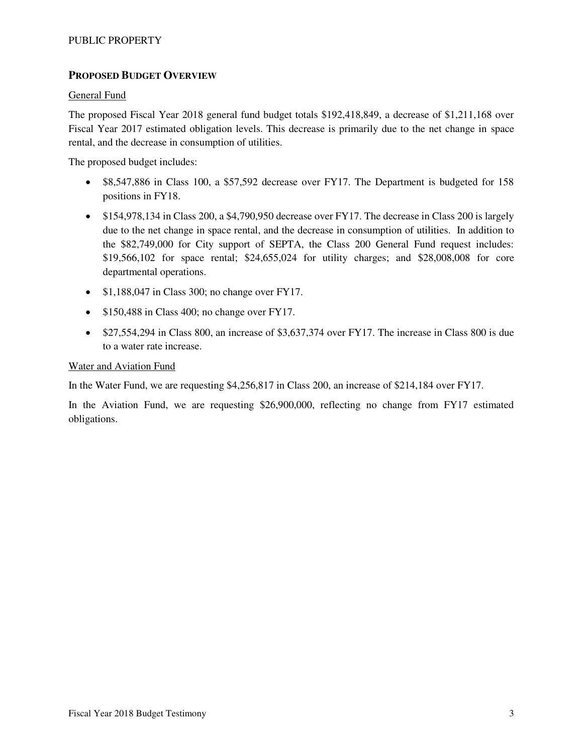### PUBLIC PROPERTY

### **PROPOSED BUDGET OVERVIEW**

#### General Fund

The proposed Fiscal Year 2018 general fund budget totals \$192,418,849, a decrease of \$1,211,168 over Fiscal Year 2017 estimated obligation levels. This decrease is primarily due to the net change in space rental, and the decrease in consumption of utilities.

The proposed budget includes:

- \$8,547,886 in Class 100, a \$57,592 decrease over FY17. The Department is budgeted for 158 positions in FY18.
- \$154,978,134 in Class 200, a \$4,790,950 decrease over FY17. The decrease in Class 200 is largely due to the net change in space rental, and the decrease in consumption of utilities. In addition to the \$82,749,000 for City support of SEPTA, the Class 200 General Fund request includes: \$19,566,102 for space rental; \$24,655,024 for utility charges; and \$28,008,008 for core departmental operations.
- $\bullet$  \$1,188,047 in Class 300; no change over FY17.
- \$150,488 in Class 400; no change over FY17.
- \$27,554,294 in Class 800, an increase of \$3,637,374 over FY17. The increase in Class 800 is due to a water rate increase.

#### Water and Aviation Fund

In the Water Fund, we are requesting \$4,256,817 in Class 200, an increase of \$214,184 over FY17.

In the Aviation Fund, we are requesting \$26,900,000, reflecting no change from FY17 estimated obligations.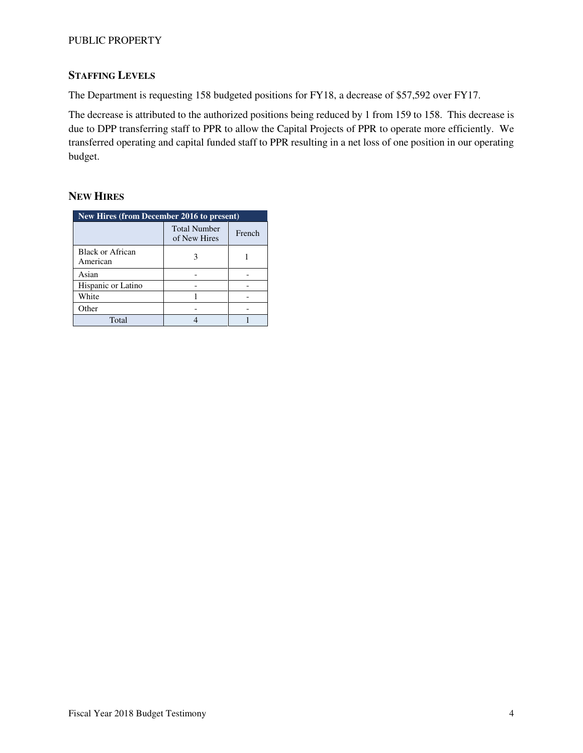### PUBLIC PROPERTY

### **STAFFING LEVELS**

The Department is requesting 158 budgeted positions for FY18, a decrease of \$57,592 over FY17.

The decrease is attributed to the authorized positions being reduced by 1 from 159 to 158. This decrease is due to DPP transferring staff to PPR to allow the Capital Projects of PPR to operate more efficiently. We transferred operating and capital funded staff to PPR resulting in a net loss of one position in our operating budget.

### **NEW HIRES**

| New Hires (from December 2016 to present) |                                     |        |  |  |  |  |  |  |
|-------------------------------------------|-------------------------------------|--------|--|--|--|--|--|--|
|                                           | <b>Total Number</b><br>of New Hires | French |  |  |  |  |  |  |
| <b>Black or African</b><br>American       |                                     |        |  |  |  |  |  |  |
| Asian                                     |                                     |        |  |  |  |  |  |  |
| Hispanic or Latino                        |                                     |        |  |  |  |  |  |  |
| White                                     |                                     |        |  |  |  |  |  |  |
| Other                                     |                                     |        |  |  |  |  |  |  |
| Total                                     |                                     |        |  |  |  |  |  |  |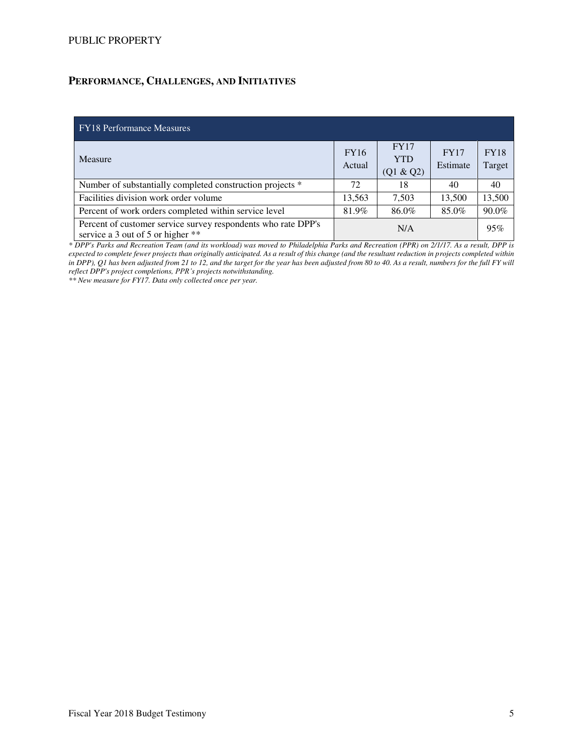## **PERFORMANCE, CHALLENGES, AND INITIATIVES**

| <b>FY18</b> Performance Measures                                                                   |                       |                                        |                         |                       |
|----------------------------------------------------------------------------------------------------|-----------------------|----------------------------------------|-------------------------|-----------------------|
| Measure                                                                                            | <b>FY16</b><br>Actual | <b>FY17</b><br><b>YTD</b><br>(Q1 & Q2) | <b>FY17</b><br>Estimate | <b>FY18</b><br>Target |
| Number of substantially completed construction projects *                                          | 72                    | 18                                     | 40                      | 40                    |
| Facilities division work order volume                                                              | 13,563                | 7,503                                  | 13,500                  | 13,500                |
| Percent of work orders completed within service level                                              | 81.9%                 | 86.0%                                  | 85.0%                   | 90.0%                 |
| Percent of customer service survey respondents who rate DPP's<br>service a 3 out of 5 or higher ** |                       | 95%                                    |                         |                       |

*\* DPP's Parks and Recreation Team (and its workload) was moved to Philadelphia Parks and Recreation (PPR) on 2/1/17. As a result, DPP is expected to complete fewer projects than originally anticipated. As a result of this change (and the resultant reduction in projects completed within in DPP), Q1 has been adjusted from 21 to 12, and the target for the year has been adjusted from 80 to 40. As a result, numbers for the full FY will reflect DPP's project completions, PPR's projects notwithstanding.* 

*\*\* New measure for FY17. Data only collected once per year.*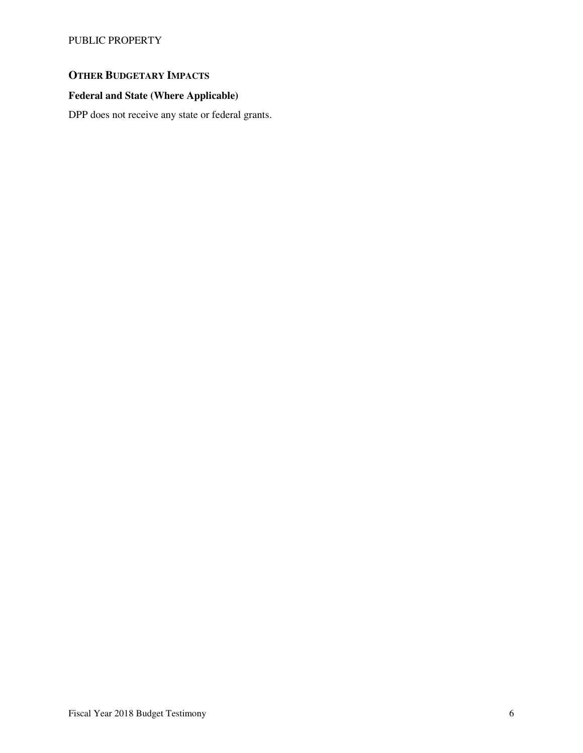PUBLIC PROPERTY

# **OTHER BUDGETARY IMPACTS**

## **Federal and State (Where Applicable)**

DPP does not receive any state or federal grants.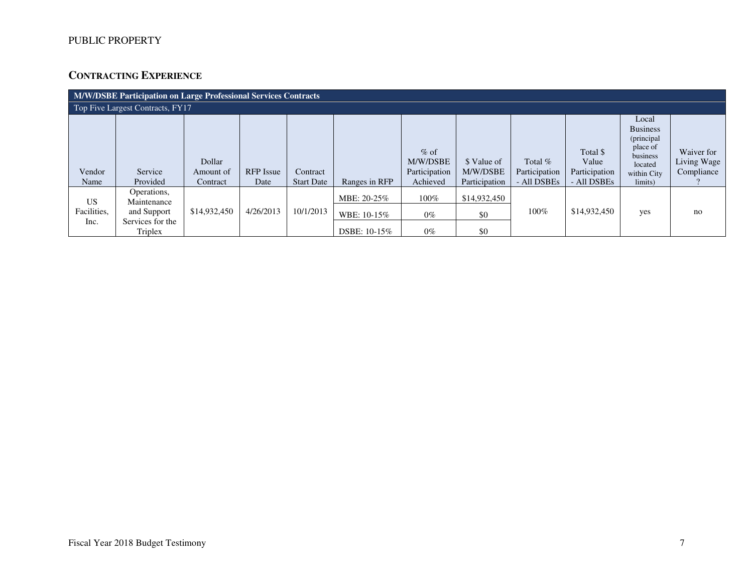## **CONTRACTING EXPERIENCE**

| M/W/DSBE Participation on Large Professional Services Contracts |                                                                          |                                 |                          |                               |                                            |                                                 |                                          |                                           |                                                   |                                                                                                     |                                         |  |
|-----------------------------------------------------------------|--------------------------------------------------------------------------|---------------------------------|--------------------------|-------------------------------|--------------------------------------------|-------------------------------------------------|------------------------------------------|-------------------------------------------|---------------------------------------------------|-----------------------------------------------------------------------------------------------------|-----------------------------------------|--|
| Top Five Largest Contracts, FY17                                |                                                                          |                                 |                          |                               |                                            |                                                 |                                          |                                           |                                                   |                                                                                                     |                                         |  |
| Vendor<br>Name                                                  | Service<br>Provided                                                      | Dollar<br>Amount of<br>Contract | <b>RFP</b> Issue<br>Date | Contract<br><b>Start Date</b> | Ranges in RFP                              | $%$ of<br>M/W/DSBE<br>Participation<br>Achieved | \$ Value of<br>M/W/DSBE<br>Participation | Total $%$<br>Participation<br>- All DSBEs | Total \$<br>Value<br>Participation<br>- All DSBEs | Local<br><b>Business</b><br>(principal<br>place of<br>business<br>located<br>within City<br>limits) | Waiver for<br>Living Wage<br>Compliance |  |
| <b>US</b><br>Facilities,<br>Inc.                                | Operations,<br>Maintenance<br>and Support<br>Services for the<br>Triplex | \$14,932,450                    | 4/26/2013                | 10/1/2013                     | MBE: 20-25%<br>WBE: 10-15%<br>DSBE: 10-15% | $100\%$<br>$0\%$<br>$0\%$                       | \$14,932,450<br>\$0<br>\$0               | 100%                                      | \$14,932,450                                      | yes                                                                                                 | no                                      |  |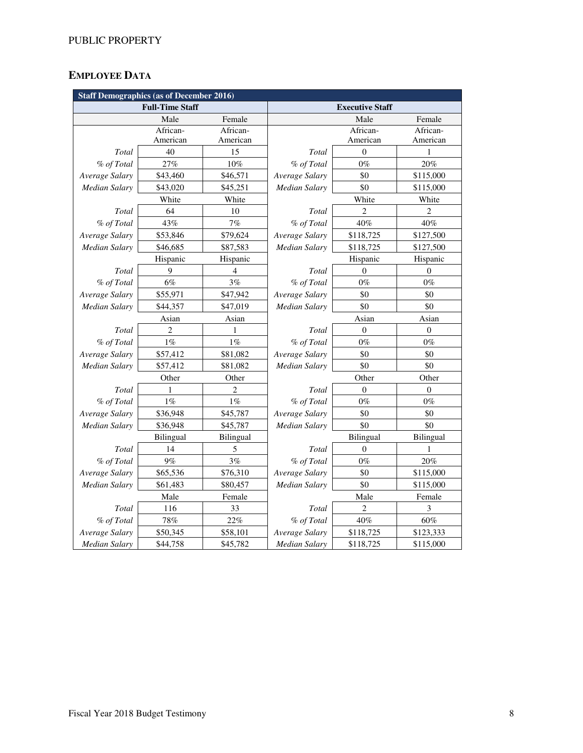# **EMPLOYEE DATA**

| <b>Staff Demographics (as of December 2016)</b> |                        |                |                        |                  |                  |  |  |  |  |  |
|-------------------------------------------------|------------------------|----------------|------------------------|------------------|------------------|--|--|--|--|--|
|                                                 | <b>Full-Time Staff</b> |                | <b>Executive Staff</b> |                  |                  |  |  |  |  |  |
|                                                 | Male                   | Female         |                        | Female           |                  |  |  |  |  |  |
|                                                 | African-               | African-       |                        | African-         | African-         |  |  |  |  |  |
|                                                 | American               | American       |                        | American         | American         |  |  |  |  |  |
| Total                                           | 40                     | 15             | Total                  | $\mathbf{0}$     | $\mathbf{1}$     |  |  |  |  |  |
| % of Total                                      | 27%                    | 10%            | % of Total             | $0\%$            | 20%              |  |  |  |  |  |
| Average Salary                                  | \$43,460               | \$46,571       | Average Salary         | \$0              | \$115,000        |  |  |  |  |  |
| Median Salary                                   | \$43,020               | \$45,251       | <b>Median Salary</b>   | \$0              | \$115,000        |  |  |  |  |  |
|                                                 | White                  | White          |                        | White            | White            |  |  |  |  |  |
| Total                                           | 64                     | 10             | Total                  | $\overline{2}$   | $\overline{2}$   |  |  |  |  |  |
| % of Total                                      | 43%                    | 7%             | % of Total             | 40%              | 40%              |  |  |  |  |  |
| Average Salary                                  | \$53,846               | \$79,624       | Average Salary         | \$118,725        | \$127,500        |  |  |  |  |  |
| <b>Median Salary</b>                            | \$46,685               | \$87,583       | Median Salary          | \$118,725        | \$127,500        |  |  |  |  |  |
|                                                 | Hispanic               | Hispanic       |                        | Hispanic         | Hispanic         |  |  |  |  |  |
| Total                                           | 9                      | 4              | Total                  | $\mathbf{0}$     | $\theta$         |  |  |  |  |  |
| % of Total                                      | 6%                     | 3%             | % of Total             | $0\%$            | $0\%$            |  |  |  |  |  |
| Average Salary                                  | \$55,971               | \$47,942       | Average Salary         | \$0              | \$0              |  |  |  |  |  |
| <b>Median Salary</b>                            | \$44,357               | \$47,019       | <b>Median Salary</b>   | \$0              | \$0              |  |  |  |  |  |
|                                                 | Asian                  | Asian          |                        | Asian            | Asian            |  |  |  |  |  |
| Total                                           | $\overline{2}$         | 1              | Total                  | $\boldsymbol{0}$ | $\boldsymbol{0}$ |  |  |  |  |  |
| % of Total                                      | $1\%$                  | $1\%$          | % of Total             | $0\%$            | $0\%$            |  |  |  |  |  |
| Average Salary                                  | \$57,412               | \$81,082       | Average Salary         | \$0              |                  |  |  |  |  |  |
| Median Salary                                   | \$57,412               | \$81,082       | Median Salary          | \$0              |                  |  |  |  |  |  |
|                                                 | Other                  | Other          |                        | Other            | Other            |  |  |  |  |  |
| Total                                           | 1                      | $\overline{2}$ | Total                  | $\theta$         | 0                |  |  |  |  |  |
| % of Total                                      | $1\%$                  | $1\%$          | % of Total             | $0\%$            | $0\%$            |  |  |  |  |  |
| Average Salary                                  | \$36,948               | \$45,787       | Average Salary         | \$0              | \$0              |  |  |  |  |  |
| Median Salary                                   | \$36,948               | \$45,787       | Median Salary          | \$0              | \$0              |  |  |  |  |  |
|                                                 | Bilingual              | Bilingual      |                        | Bilingual        | Bilingual        |  |  |  |  |  |
| Total                                           | 14                     | 5              | Total                  | $\boldsymbol{0}$ | 1                |  |  |  |  |  |
| % of Total                                      | 9%                     | 3%             | % of Total             | $0\%$            | 20%              |  |  |  |  |  |
| Average Salary                                  | \$65,536               | \$76,310       | Average Salary         | \$0              | \$115,000        |  |  |  |  |  |
| <b>Median Salary</b>                            | \$61,483               | \$80,457       | <b>Median Salary</b>   | \$0              | \$115,000        |  |  |  |  |  |
|                                                 | Male                   | Female         |                        | Male             | Female           |  |  |  |  |  |
| Total                                           | 116                    | 33             | Total                  | $\overline{2}$   | 3                |  |  |  |  |  |
| % of Total                                      | $78\%$                 | 22%            | % of Total             | 40%              | $60\%$           |  |  |  |  |  |
| Average Salary                                  | \$50,345               | \$58,101       | Average Salary         | \$118,725        | \$123,333        |  |  |  |  |  |
| <b>Median Salary</b>                            | \$44,758               | \$45,782       | <b>Median Salary</b>   | \$118,725        | \$115,000        |  |  |  |  |  |